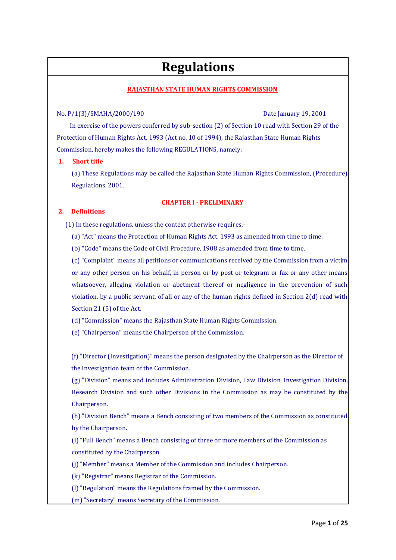# **Regulations**

### **RAJASTHAN STATE HUMAN RIGHTS COMMISSION**

#### No. P/1(3)/SMAHA/2000/190 Date January 19, 2001

 In exercise of the powers conferred by sub-section (2) of Section 10 read with Section 29 of the Protection of Human Rights Act, 1993 (Act no. 10 of 1994), the Rajasthan State Human Rights Commission, hereby makes the following REGULATIONS, namely:

#### **1. Short title**

(a) These Regulations may be called the Rajasthan State Human Rights Commission, (Procedure) Regulations, 2001.

#### **CHAPTER I - PRELIMINARY**

### **2. Definitions**

(1) In these regulations, unless the context otherwise requires,-

(a) "Act" means the Protection of Human Rights Act, 1993 as amended from time to time.

(b) "Code" means the Code of Civil Procedure, 1908 as amended from time to time.

(c) "Complaint" means all petitions or communications received by the Commission from a victim or any other person on his behalf, in person or by post or telegram or fax or any other means whatsoever, alleging violation or abetment thereof or negligence in the prevention of such violation, by a public servant, of all or any of the human rights defined in Section  $2(d)$  read with Section 21 (5) of the Act.

(d) "Commission" means the Rajasthan State Human Rights Commission.

(e) "Chairperson" means the Chairperson of the Commission.

(f) "Director (Investigation)" means the person designated by the Chairperson as the Director of the Investigation team of the Commission.

(g) "Division" means and includes Administration Division, Law Division, Investigation Division, Research Division and such other Divisions in the Commission as may be constituted by the Chairperson.

(h) "Division Bench" means a Bench consisting of two members of the Commission as constituted by the Chairperson.

(i) "Full Bench" means a Bench consisting of three or more members of the Commission as constituted by the Chairperson.

(j) "Member" means a Member of the Commission and includes Chairperson.

(k) "Registrar" means Registrar of the Commission.

(l) "Regulation" means the Regulations framed by the Commission.

(m) "Secretary" means Secretary of the Commission.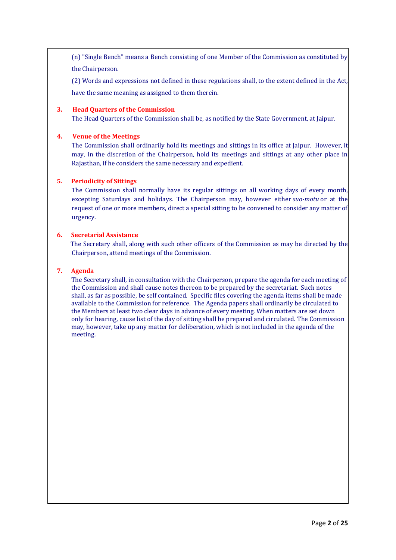(n) "Single Bench" means a Bench consisting of one Member of the Commission as constituted by the Chairperson.

(2) Words and expressions not defined in these regulations shall, to the extent defined in the Act,

have the same meaning as assigned to them therein.

#### **3. Head Quarters of the Commission**

The Head Quarters of the Commission shall be, as notified by the State Government, at Jaipur.

#### **4. Venue of the Meetings**

The Commission shall ordinarily hold its meetings and sittings in its office at Jaipur. However, it may, in the discretion of the Chairperson, hold its meetings and sittings at any other place in Rajasthan, if he considers the same necessary and expedient.

#### **5. Periodicity of Sittings**

 The Commission shall normally have its regular sittings on all working days of every month, excepting Saturdays and holidays. The Chairperson may, however either *suo-motu* or at the request of one or more members, direct a special sitting to be convened to consider any matter of urgency.

#### **6. Secretarial Assistance**

 The Secretary shall, along with such other officers of the Commission as may be directed by the Chairperson, attend meetings of the Commission.

#### **7. Agenda**

The Secretary shall, in consultation with the Chairperson, prepare the agenda for each meeting of the Commission and shall cause notes thereon to be prepared by the secretariat. Such notes shall, as far as possible, be self contained. Specific files covering the agenda items shall be made available to the Commission for reference. The Agenda papers shall ordinarily be circulated to the Members at least two clear days in advance of every meeting. When matters are set down only for hearing, cause list of the day of sitting shall be prepared and circulated. The Commission may, however, take up any matter for deliberation, which is not included in the agenda of the meeting.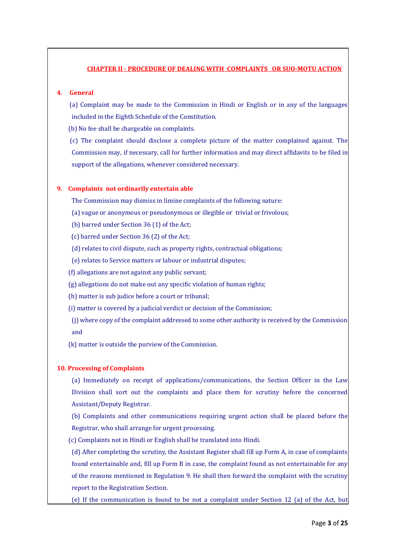#### **CHAPTER II - PROCEDURE OF DEALING WITH COMPLAINTS OR SUO-MOTU ACTION**

#### **4. General**

 (a) Complaint may be made to the Commission in Hindi or English or in any of the languages included in the Eighth Schedule of the Constitution.

(b) No fee shall be chargeable on complaints.

 (c) The complaint should disclose a complete picture of the matter complained against. The Commission may, if necessary, call for further information and may direct affidavits to be filed in support of the allegations, whenever considered necessary.

#### **9. Complaints not ordinarily entertain able**

The Commission may dismiss in limine complaints of the following nature:

(a) vague or anonymous or pseudonymous or illegible or trivial or frivolous;

(b) barred under Section 36 (1) of the Act;

(c) barred under Section 36 (2) of the Act;

(d) relates to civil dispute, such as property rights, contractual obligations;

(e) relates to Service matters or labour or industrial disputes;

(f) allegations are not against any public servant;

(g) allegations do not make out any specific violation of human rights;

(h) matter is sub judice before a court or tribunal;

(i) matter is covered by a judicial verdict or decision of the Commission;

(j) where copy of the complaint addressed to some other authority is received by the Commission and

(k) matter is outside the purview of the Commission.

#### **10. Processing of Complaints**

(a) Immediately on receipt of applications/communications, the Section Officer in the Law Division shall sort out the complaints and place them for scrutiny before the concerned Assistant/Deputy Registrar.

(b) Complaints and other communications requiring urgent action shall be placed before the Registrar, who shall arrange for urgent processing.

(c) Complaints not in Hindi or English shall be translated into Hindi.

(d) After completing the scrutiny, the Assistant Register shall fill up Form A, in case of complaints found entertainable and, fill up Form B in case, the complaint found as not entertainable for any of the reasons mentioned in Regulation 9. He shall then forward the complaint with the scrutiny report to the Registration Section.

(e) If the communication is found to be not a complaint under Section 12 (a) of the Act, but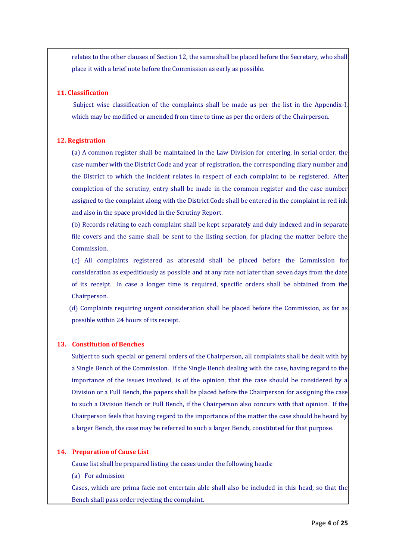relates to the other clauses of Section 12, the same shall be placed before the Secretary, who shall place it with a brief note before the Commission as early as possible.

#### **11. Classification**

Subject wise classification of the complaints shall be made as per the list in the Appendix-I, which may be modified or amended from time to time as per the orders of the Chairperson.

#### **12. Registration**

(a) A common register shall be maintained in the Law Division for entering, in serial order, the case number with the District Code and year of registration, the corresponding diary number and the District to which the incident relates in respect of each complaint to be registered. After completion of the scrutiny, entry shall be made in the common register and the case number assigned to the complaint along with the District Code shall be entered in the complaint in red ink and also in the space provided in the Scrutiny Report.

(b) Records relating to each complaint shall be kept separately and duly indexed and in separate file covers and the same shall be sent to the listing section, for placing the matter before the Commission.

(c) All complaints registered as aforesaid shall be placed before the Commission for consideration as expeditiously as possible and at any rate not later than seven days from the date of its receipt. In case a longer time is required, specific orders shall be obtained from the Chairperson.

 (d) Complaints requiring urgent consideration shall be placed before the Commission, as far as possible within 24 hours of its receipt.

#### **13. Constitution of Benches**

Subject to such special or general orders of the Chairperson, all complaints shall be dealt with by a Single Bench of the Commission. If the Single Bench dealing with the case, having regard to the importance of the issues involved, is of the opinion, that the case should be considered by a Division or a Full Bench, the papers shall be placed before the Chairperson for assigning the case to such a Division Bench or Full Bench, if the Chairperson also concurs with that opinion. If the Chairperson feels that having regard to the importance of the matter the case should be heard by a larger Bench, the case may be referred to such a larger Bench, constituted for that purpose.

#### **14. Preparation of Cause List**

Cause list shall be prepared listing the cases under the following heads:

(a) For admission

Cases, which are prima facie not entertain able shall also be included in this head, so that the Bench shall pass order rejecting the complaint.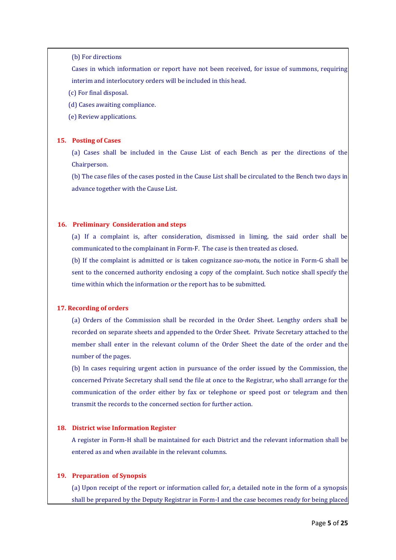(b) For directions

Cases in which information or report have not been received, for issue of summons, requiring interim and interlocutory orders will be included in this head.

(c) For final disposal.

(d) Cases awaiting compliance.

(e) Review applications.

#### **15. Posting of Cases**

(a) Cases shall be included in the Cause List of each Bench as per the directions of the Chairperson.

(b) The case files of the cases posted in the Cause List shall be circulated to the Bench two days in advance together with the Cause List.

#### **16. Preliminary Consideration and steps**

(a) If a complaint is, after consideration, dismissed in liming, the said order shall be communicated to the complainant in Form-F. The case is then treated as closed.

(b) If the complaint is admitted or is taken cognizance *suo-motu,* the notice in Form-G shall be sent to the concerned authority enclosing a copy of the complaint. Such notice shall specify the time within which the information or the report has to be submitted.

#### **17. Recording of orders**

(a) Orders of the Commission shall be recorded in the Order Sheet. Lengthy orders shall be recorded on separate sheets and appended to the Order Sheet. Private Secretary attached to the member shall enter in the relevant column of the Order Sheet the date of the order and the number of the pages.

(b) In cases requiring urgent action in pursuance of the order issued by the Commission, the concerned Private Secretary shall send the file at once to the Registrar, who shall arrange for the communication of the order either by fax or telephone or speed post or telegram and then transmit the records to the concerned section for further action.

### **18. District wise Information Register**

A register in Form-H shall be maintained for each District and the relevant information shall be entered as and when available in the relevant columns.

#### **19. Preparation of Synopsis**

(a) Upon receipt of the report or information called for, a detailed note in the form of a synopsis shall be prepared by the Deputy Registrar in Form-I and the case becomes ready for being placed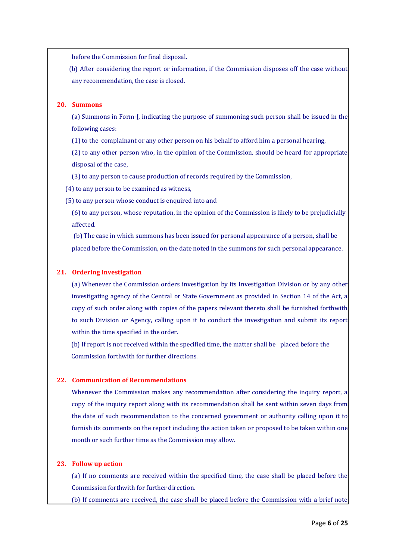before the Commission for final disposal.

 (b) After considering the report or information, if the Commission disposes off the case without any recommendation, the case is closed.

#### **20. Summons**

(a) Summons in Form-J, indicating the purpose of summoning such person shall be issued in the following cases:

(1) to the complainant or any other person on his behalf to afford him a personal hearing,

(2) to any other person who, in the opinion of the Commission, should be heard for appropriate disposal of the case,

(3) to any person to cause production of records required by the Commission,

(4) to any person to be examined as witness,

(5) to any person whose conduct is enquired into and

(6) to any person, whose reputation, in the opinion of the Commission is likely to be prejudicially affected.

(b) The case in which summons has been issued for personal appearance of a person, shall be placed before the Commission, on the date noted in the summons for such personal appearance.

#### **21. Ordering Investigation**

(a) Whenever the Commission orders investigation by its Investigation Division or by any other investigating agency of the Central or State Government as provided in Section 14 of the Act, a copy of such order along with copies of the papers relevant thereto shall be furnished forthwith to such Division or Agency, calling upon it to conduct the investigation and submit its report within the time specified in the order.

(b) If report is not received within the specified time, the matter shall be placed before the Commission forthwith for further directions.

#### **22. Communication of Recommendations**

Whenever the Commission makes any recommendation after considering the inquiry report, a copy of the inquiry report along with its recommendation shall be sent within seven days from the date of such recommendation to the concerned government or authority calling upon it to furnish its comments on the report including the action taken or proposed to be taken within one month or such further time as the Commission may allow.

#### **23. Follow up action**

(a) If no comments are received within the specified time, the case shall be placed before the Commission forthwith for further direction.

(b) If comments are received, the case shall be placed before the Commission with a brief note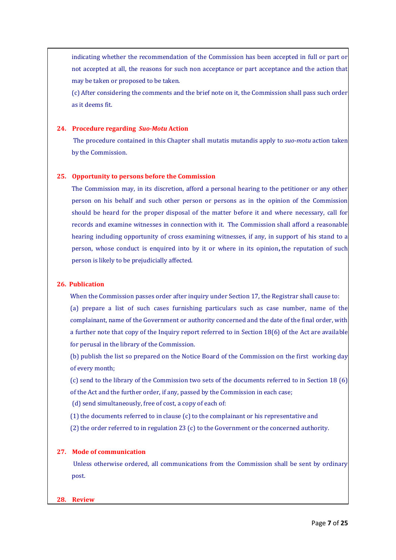indicating whether the recommendation of the Commission has been accepted in full or part or not accepted at all, the reasons for such non acceptance or part acceptance and the action that may be taken or proposed to be taken.

(c) After considering the comments and the brief note on it, the Commission shall pass such order as it deems fit.

#### **24. Procedure regarding** *Suo-Motu* **Action**

The procedure contained in this Chapter shall mutatis mutandis apply to *suo-motu* action taken by the Commission.

#### **25. Opportunity to persons before the Commission**

The Commission may, in its discretion, afford a personal hearing to the petitioner or any other person on his behalf and such other person or persons as in the opinion of the Commission should be heard for the proper disposal of the matter before it and where necessary, call for records and examine witnesses in connection with it. The Commission shall afford a reasonable hearing including opportunity of cross examining witnesses, if any, in support of his stand to a person, whose conduct is enquired into by it or where in its opinion**,** the reputation of such person is likely to be prejudicially affected.

#### **26. Publication**

When the Commission passes order after inquiry under Section 17, the Registrar shall cause to:

(a) prepare a list of such cases furnishing particulars such as case number, name of the complainant, name of the Government or authority concerned and the date of the final order, with a further note that copy of the Inquiry report referred to in Section 18(6) of the Act are available for perusal in the library of the Commission.

(b) publish the list so prepared on the Notice Board of the Commission on the first working day of every month;

(c) send to the library of the Commission two sets of the documents referred to in Section 18 (6) of the Act and the further order, if any, passed by the Commission in each case;

(d) send simultaneously, free of cost, a copy of each of:

(1) the documents referred to in clause (c) to the complainant or his representative and

(2) the order referred to in regulation 23 (c) to the Government or the concerned authority.

#### **27. Mode of communication**

Unless otherwise ordered, all communications from the Commission shall be sent by ordinary post.

#### **28. Review**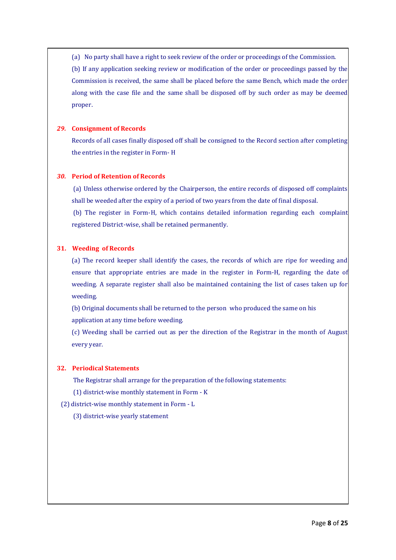(a) No party shall have a right to seek review of the order or proceedings of the Commission. (b) If any application seeking review or modification of the order or proceedings passed by the Commission is received, the same shall be placed before the same Bench, which made the order along with the case file and the same shall be disposed off by such order as may be deemed proper.

#### *29.* **Consignment of Records**

Records of all cases finally disposed off shall be consigned to the Record section after completing the entries in the register in Form- H

#### *30.* **Period of Retention of Records**

(a) Unless otherwise ordered by the Chairperson, the entire records of disposed off complaints shall be weeded after the expiry of a period of two years from the date of final disposal.

(b) The register in Form-H, which contains detailed information regarding each complaint registered District-wise, shall be retained permanently.

#### **31. Weeding of Records**

(a) The record keeper shall identify the cases, the records of which are ripe for weeding and ensure that appropriate entries are made in the register in Form-H, regarding the date of weeding. A separate register shall also be maintained containing the list of cases taken up for weeding.

(b) Original documents shall be returned to the person who produced the same on his application at any time before weeding.

(c) Weeding shall be carried out as per the direction of the Registrar in the month of August every year.

#### **32. Periodical Statements**

The Registrar shall arrange for the preparation of the following statements:

(1) district-wise monthly statement in Form - K

#### (2) district-wise monthly statement in Form - L

(3) district-wise yearly statement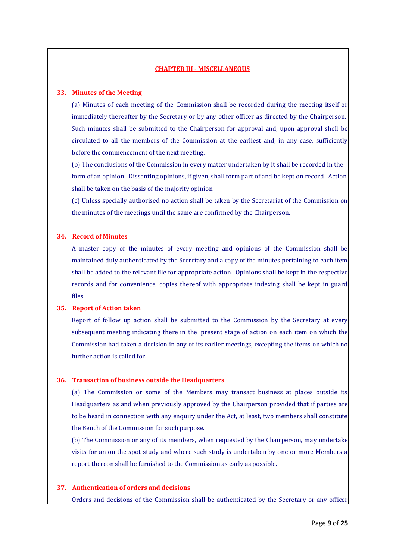#### **CHAPTER III - MISCELLANEOUS**

#### **33. Minutes of the Meeting**

(a) Minutes of each meeting of the Commission shall be recorded during the meeting itself or immediately thereafter by the Secretary or by any other officer as directed by the Chairperson. Such minutes shall be submitted to the Chairperson for approval and, upon approval shell be circulated to all the members of the Commission at the earliest and, in any case, sufficiently before the commencement of the next meeting.

(b) The conclusions of the Commission in every matter undertaken by it shall be recorded in the form of an opinion. Dissenting opinions, if given, shall form part of and be kept on record. Action shall be taken on the basis of the majority opinion.

(c) Unless specially authorised no action shall be taken by the Secretariat of the Commission on the minutes of the meetings until the same are confirmed by the Chairperson.

#### **34. Record of Minutes**

A master copy of the minutes of every meeting and opinions of the Commission shall be maintained duly authenticated by the Secretary and a copy of the minutes pertaining to each item shall be added to the relevant file for appropriate action. Opinions shall be kept in the respective records and for convenience, copies thereof with appropriate indexing shall be kept in guard files.

#### **35. Report of Action taken**

Report of follow up action shall be submitted to the Commission by the Secretary at every subsequent meeting indicating there in the present stage of action on each item on which the Commission had taken a decision in any of its earlier meetings, excepting the items on which no further action is called for.

#### **36. Transaction of business outside the Headquarters**

(a) The Commission or some of the Members may transact business at places outside its Headquarters as and when previously approved by the Chairperson provided that if parties are to be heard in connection with any enquiry under the Act, at least, two members shall constitute the Bench of the Commission for such purpose.

(b) The Commission or any of its members, when requested by the Chairperson, may undertake visits for an on the spot study and where such study is undertaken by one or more Members a report thereon shall be furnished to the Commission as early as possible.

#### **37. Authentication of orders and decisions**

Orders and decisions of the Commission shall be authenticated by the Secretary or any officer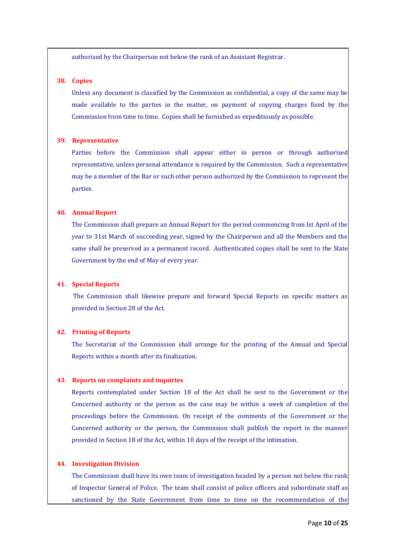authorised by the Chairperson not below the rank of an Assistant Registrar.

### **38. Copies**

Unless any document is classified by the Commission as confidential, a copy of the same may be made available to the parties in the matter, on payment of copying charges fixed by the Commission from time to time. Copies shall be furnished as expeditiously as possible.

#### **39. Representative**

Parties before the Commission shall appear either in person or through authorised representative, unless personal attendance is required by the Commission. Such a representative may be a member of the Bar or such other person authorized by the Commission to represent the parties.

#### **40. Annual Report**

The Commission shall prepare an Annual Report for the period commencing from lst April of the year to 31st March of succeeding year, signed by the Chairperson and all the Members and the same shall be preserved as a permanent record. Authenticated copies shall be sent to the State Government by the end of May of every year.

#### **41. Special Reports**

The Commission shall likewise prepare and forward Special Reports on specific matters as provided in Section 28 of the Act.

#### **42. Printing of Reports**

The Secretariat of the Commission shall arrange for the printing of the Annual and Special Reports within a month after its finalization.

#### **43. Reports on complaints and inquiries**

Reports contemplated under Section 18 of the Act shall be sent to the Government or the Concerned authority or the person as the case may be within a week of completion of the proceedings before the Commission. On receipt of the comments of the Government or the Concerned authority or the person, the Commission shall publish the report in the manner provided in Section 18 of the Act, within 10 days of the receipt of the intimation.

#### **44. Investigation Division**

The Commission shall have its own team of investigation headed by a person not below the rank of Inspector General of Police. The team shall consist of police officers and subordinate staff as sanctioned by the State Government from time to time on the recommendation of the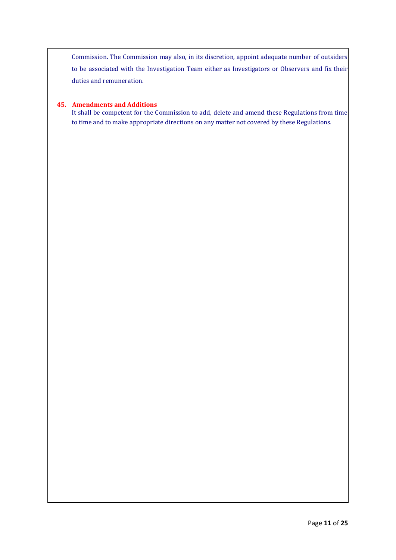Commission. The Commission may also, in its discretion, appoint adequate number of outsiders to be associated with the Investigation Team either as Investigators or Observers and fix their duties and remuneration.

#### **45. Amendments and Additions**

It shall be competent for the Commission to add, delete and amend these Regulations from time to time and to make appropriate directions on any matter not covered by these Regulations.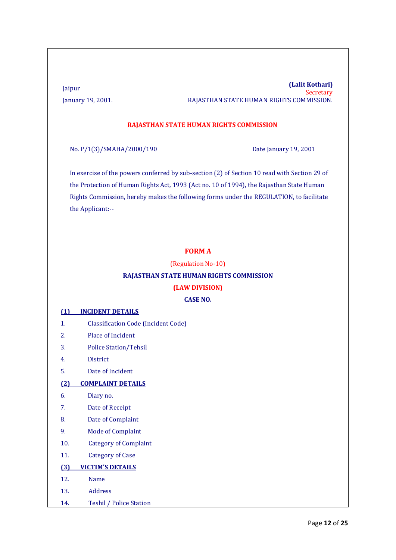#### Jaipur **(Lalit Kothari) Secretary** January 19, 2001. RAJASTHAN STATE HUMAN RIGHTS COMMISSION.

#### **RAJASTHAN STATE HUMAN RIGHTS COMMISSION**

No. P/1(3)/SMAHA/2000/190 Date January 19, 2001

In exercise of the powers conferred by sub-section (2) of Section 10 read with Section 29 of the Protection of Human Rights Act, 1993 (Act no. 10 of 1994), the Rajasthan State Human Rights Commission, hereby makes the following forms under the REGULATION, to facilitate the Applicant:--

# **FORM A**

(Regulation No-10)

#### **RAJASTHAN STATE HUMAN RIGHTS COMMISSION**

#### **(LAW DIVISION)**

# **CASE NO.**

#### **(1) INCIDENT DETAILS**

- 1. Classification Code (Incident Code)
- 2. Place of Incident
- 3. Police Station/Tehsil
- 4. District
- 5. Date of Incident

#### **(2) COMPLAINT DETAILS**

- 6. Diary no.
- 7. Date of Receipt
- 8. Date of Complaint
- 9. Mode of Complaint
- 10. Category of Complaint
- 11. Category of Case

### **(3) VICTIM'S DETAILS**

- 12. Name
- 13. Address
- 14. Teshil / Police Station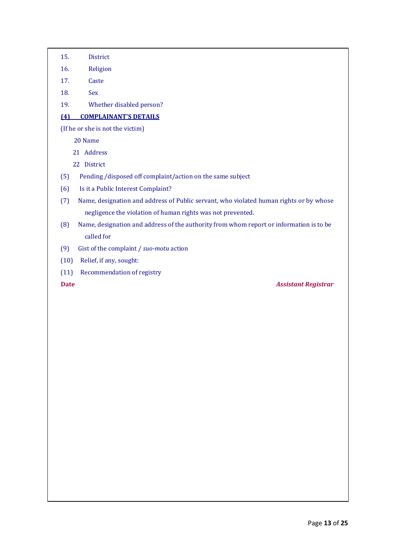- 15. District
- 16. Religion
- 17. Caste
- 18. Sex
- 19. Whether disabled person?

# **(4) COMPLAINANT'S DETAILS**

(If he or she is not the victim)

20 Name

- 21 Address
- 22 District
- (5) Pending /disposed off complaint/action on the same subject
- (6) Is it a Public Interest Complaint?
- (7) Name, designation and address of Public servant, who violated human rights or by whose negligence the violation of human rights was not prevented.
- (8) Name, designation and address of the authority from whom report or information is to be called for
- (9) Gist of the complaint / *suo-motu* action
- (10) Relief, if any, sought:
- (11) Recommendation of registry

**Date** *Assistant Registrar*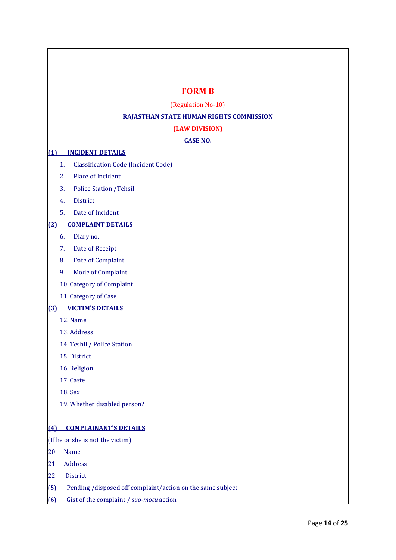# **FORM B**

(Regulation No-10)

# **RAJASTHAN STATE HUMAN RIGHTS COMMISSION**

### **(LAW DIVISION)**

### **CASE NO.**

### **(1) INCIDENT DETAILS**

- 1. Classification Code (Incident Code)
- 2. Place of Incident
- 3. Police Station /Tehsil
- 4. District
- 5. Date of Incident

### **(2) COMPLAINT DETAILS**

- 6. Diary no.
- 7. Date of Receipt
- 8. Date of Complaint
- 9. Mode of Complaint
- 10. Category of Complaint
- 11. Category of Case

### **(3) VICTIM'S DETAILS**

- 12. Name
- 13. Address
- 14. Teshil / Police Station
- 15. District
- 16. Religion
- 17. Caste
- 18. Sex
- 19. Whether disabled person?

#### **(4) COMPLAINANT'S DETAILS**

(If he or she is not the victim)

- 20 Name
- 21 Address
- 22 District
- $(5)$  Pending /disposed off complaint/action on the same subject
- (6) Gist of the complaint / *suo-motu* action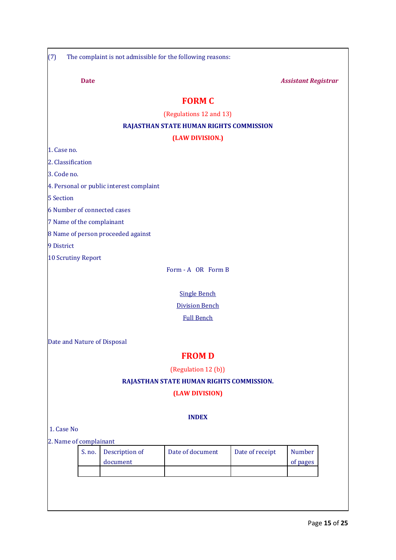|                             | <b>Date</b> |                                          |                                                |                 | <b>Assistant Registrar</b> |
|-----------------------------|-------------|------------------------------------------|------------------------------------------------|-----------------|----------------------------|
|                             |             |                                          | <b>FORM C</b>                                  |                 |                            |
|                             |             |                                          | (Regulations 12 and 13)                        |                 |                            |
|                             |             |                                          | <b>RAJASTHAN STATE HUMAN RIGHTS COMMISSION</b> |                 |                            |
|                             |             |                                          | (LAW DIVISION.)                                |                 |                            |
| 1. Case no.                 |             |                                          |                                                |                 |                            |
| 2. Classification           |             |                                          |                                                |                 |                            |
| 3. Code no.                 |             |                                          |                                                |                 |                            |
|                             |             | 4. Personal or public interest complaint |                                                |                 |                            |
| <b>5 Section</b>            |             |                                          |                                                |                 |                            |
| 6 Number of connected cases |             |                                          |                                                |                 |                            |
| 7 Name of the complainant   |             |                                          |                                                |                 |                            |
|                             |             | 8 Name of person proceeded against       |                                                |                 |                            |
| 9 District                  |             |                                          |                                                |                 |                            |
| <b>10 Scrutiny Report</b>   |             |                                          |                                                |                 |                            |
|                             |             |                                          | Form - A OR Form B                             |                 |                            |
|                             |             |                                          |                                                |                 |                            |
|                             |             |                                          | <b>Single Bench</b>                            |                 |                            |
|                             |             |                                          | <b>Division Bench</b>                          |                 |                            |
|                             |             |                                          | <b>Full Bench</b>                              |                 |                            |
|                             |             |                                          |                                                |                 |                            |
| Date and Nature of Disposal |             |                                          |                                                |                 |                            |
|                             |             |                                          | <b>FROMD</b>                                   |                 |                            |
|                             |             |                                          | (Regulation 12 (b))                            |                 |                            |
|                             |             |                                          | RAJASTHAN STATE HUMAN RIGHTS COMMISSION.       |                 |                            |
|                             |             |                                          | (LAW DIVISION)                                 |                 |                            |
|                             |             |                                          |                                                |                 |                            |
|                             |             |                                          | <b>INDEX</b>                                   |                 |                            |
| 1. Case No                  |             |                                          |                                                |                 |                            |
| 2. Name of complainant      |             |                                          |                                                |                 |                            |
|                             | S. no.      | Description of<br>document               | Date of document                               | Date of receipt | <b>Number</b><br>of pages  |
|                             |             |                                          |                                                |                 |                            |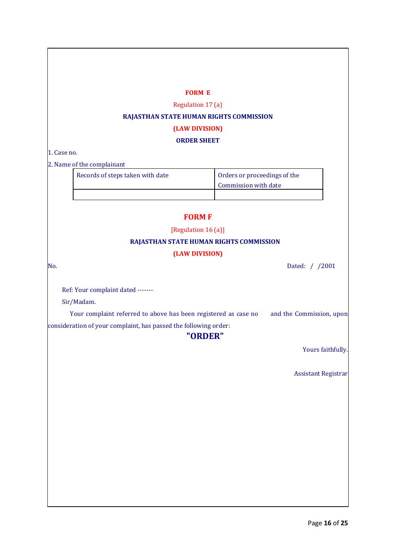### **FORM E**

Regulation 17 (a)

### **RAJASTHAN STATE HUMAN RIGHTS COMMISSION**

# **(LAW DIVISION)**

#### **ORDER SHEET**

1. Case no.

2. Name of the complainant

| Records of steps taken with date | Orders or proceedings of the |
|----------------------------------|------------------------------|
|                                  | Commission with date         |
|                                  |                              |

# **FORM F**

[Regulation 16 (a)]

#### **RAJASTHAN STATE HUMAN RIGHTS COMMISSION**

# **(LAW DIVISION)**

No. Dated: / /2001

Ref: Your complaint dated -------

Sir/Madam.

Your complaint referred to above has been registered as case no and the Commission, upon consideration of your complaint, has passed the following order:

# **"ORDER"**

Yours faithfully.

Assistant Registrar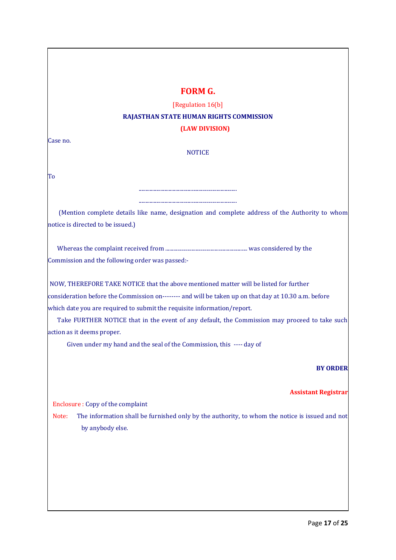# **FORM G.**

# [Regulation 16(b] **RAJASTHAN STATE HUMAN RIGHTS COMMISSION (LAW DIVISION)**

Case no.

#### **NOTICE**

To

(Mention complete details like name, designation and complete address of the Authority to whom notice is directed to be issued.)

........................................................................ ........................................................................

Whereas the complaint received from ............................................................ was considered by the Commission and the following order was passed:-

NOW, THEREFORE TAKE NOTICE that the above mentioned matter will be listed for further consideration before the Commission on-------- and will be taken up on that day at 10.30 a.m. before which date you are required to submit the requisite information/report.

Take FURTHER NOTICE that in the event of any default, the Commission may proceed to take such action as it deems proper.

Given under my hand and the seal of the Commission, this ---- day of

### **BY ORDER**

#### **Assistant Registrar**

Enclosure : Copy of the complaint

Note: The information shall be furnished only by the authority, to whom the notice is issued and not by anybody else.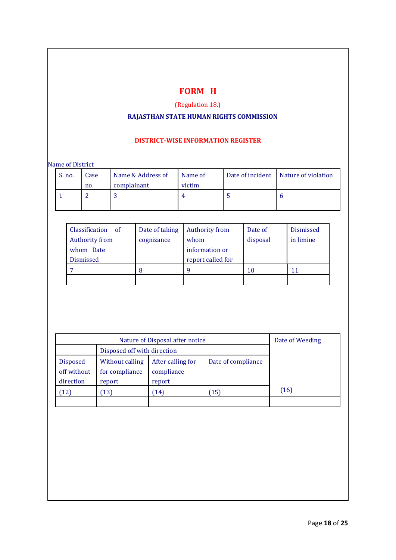# **FORM H**

# (Regulation 18.)

# **RAJASTHAN STATE HUMAN RIGHTS COMMISSION**

# **DISTRICT-WISE INFORMATION REGISTER**

Name of District

| S. no. | Case | Name & Address of | Name of | Date of incident Nature of violation |
|--------|------|-------------------|---------|--------------------------------------|
|        | no.  | complainant       | victim. |                                      |
|        |      |                   |         |                                      |
|        |      |                   |         |                                      |

| Classification of     | Date of taking | <b>Authority from</b> | Date of  | <b>Dismissed</b> |
|-----------------------|----------------|-----------------------|----------|------------------|
| <b>Authority from</b> | cognizance     | whom                  | disposal | in limine        |
| whom Date             |                | information or        |          |                  |
| <b>Dismissed</b>      |                | report called for     |          |                  |
|                       |                | a                     | 10       | 11               |
|                       |                |                       |          |                  |

|                                             | Nature of Disposal after notice             |                                           |                    |      |  |  |  |
|---------------------------------------------|---------------------------------------------|-------------------------------------------|--------------------|------|--|--|--|
|                                             |                                             |                                           |                    |      |  |  |  |
| <b>Disposed</b><br>off without<br>direction | Without calling<br>for compliance<br>report | After calling for<br>compliance<br>report | Date of compliance |      |  |  |  |
| $12^{\circ}$                                | 13)                                         | (14)                                      | 15)                | (16) |  |  |  |
|                                             |                                             |                                           |                    |      |  |  |  |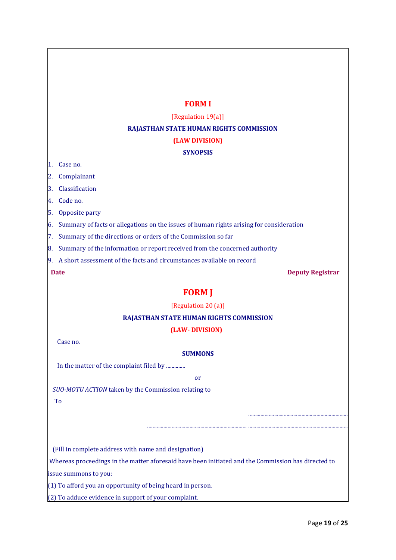# **FORM I**

#### [Regulation 19(a)]

#### **RAJASTHAN STATE HUMAN RIGHTS COMMISSION**

# **(LAW DIVISION)**

#### **SYNOPSIS**

1. Case no.

2. Complainant

3. Classification

4. Code no.

5. Opposite party

6. Summary of facts or allegations on the issues of human rights arising for consideration

7. Summary of the directions or orders of the Commission so far

8. Summary of the information or report received from the concerned authority

9. A short assessment of the facts and circumstances available on record

**Date** Deputy Registrar

.........................................................................

# **FORM J**

[Regulation 20 (a)]

#### **RAJASTHAN STATE HUMAN RIGHTS COMMISSION**

### **(LAW- DIVISION)**

Case no.

#### **SUMMONS**

In the matter of the complaint filed by ..............

or

......................................................................... .........................................................................

*SUO-MOTU ACTION* taken by the Commission relating to To

(Fill in complete address with name and designation)

Whereas proceedings in the matter aforesaid have been initiated and the Commission has directed to issue summons to you:

(1) To afford you an opportunity of being heard in person.

(2) To adduce evidence in support of your complaint.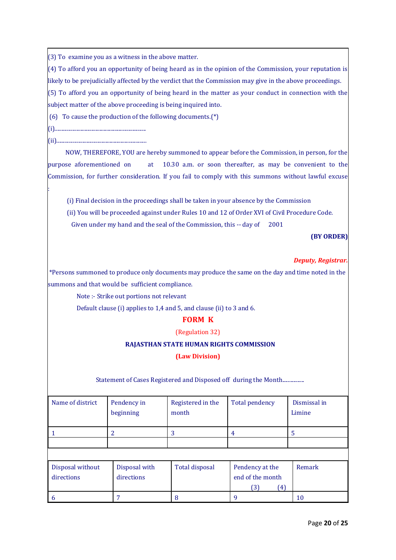(3) To examine you as a witness in the above matter.

(4) To afford you an opportunity of being heard as in the opinion of the Commission, your reputation is likely to be prejudicially affected by the verdict that the Commission may give in the above proceedings.

(5) To afford you an opportunity of being heard in the matter as your conduct in connection with the subject matter of the above proceeding is being inquired into.

(6) To cause the production of the following documents.(\*)

(i)...................................................................

(ii)..................................................................

:

 NOW, THEREFORE, YOU are hereby summoned to appear before the Commission, in person, for the purpose aforementioned on at 10.30 a.m. or soon thereafter, as may be convenient to the Commission, for further consideration. If you fail to comply with this summons without lawful excuse

(i) Final decision in the proceedings shall be taken in your absence by the Commission

(ii) You will be proceeded against under Rules 10 and 12 of Order XVI of Civil Procedure Code.

Given under my hand and the seal of the Commission, this -- day of 2001

# **(BY ORDER)**

# *Deputy, Registrar.*

\*Persons summoned to produce only documents may produce the same on the day and time noted in the summons and that would be sufficient compliance.

Note :- Strike out portions not relevant

Default clause (i) applies to 1,4 and 5, and clause (ii) to 3 and 6.

# **FORM K**

(Regulation 32)

# **RAJASTHAN STATE HUMAN RIGHTS COMMISSION**

**(Law Division)**

Statement of Cases Registered and Disposed off during the Month.................

| Name of district               | Pendency in<br>beginning    | Registered in the<br>month | <b>Total pendency</b>                             | Dismissal in<br>Limine |
|--------------------------------|-----------------------------|----------------------------|---------------------------------------------------|------------------------|
|                                | 2                           | 3                          | 4                                                 | 5                      |
|                                |                             |                            |                                                   |                        |
|                                |                             |                            |                                                   |                        |
| Disposal without<br>directions | Disposal with<br>directions | Total disposal             | Pendency at the<br>end of the month<br>(3)<br>(4) | Remark                 |
|                                |                             | 8                          |                                                   | 10                     |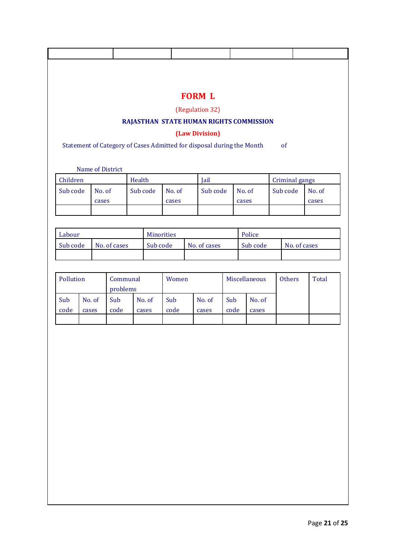|                      |        |        |                  |        |                               |                                                                       |  | <b>FORM L</b><br>(Regulation 32) |      |              | RAJASTHAN STATE HUMAN RIGHTS COMMISSION |  |                            |              |
|----------------------|--------|--------|------------------|--------|-------------------------------|-----------------------------------------------------------------------|--|----------------------------------|------|--------------|-----------------------------------------|--|----------------------------|--------------|
|                      |        |        |                  |        |                               | Statement of Category of Cases Admitted for disposal during the Month |  | (Law Division)                   |      |              |                                         |  | of                         |              |
|                      |        |        | Name of District |        |                               |                                                                       |  |                                  |      |              |                                         |  |                            |              |
| Children<br>Sub code |        | No. of |                  | Health | Sub code                      | No. of                                                                |  | Jail<br>Sub code                 |      |              | No. of                                  |  | Criminal gangs<br>Sub code | No. of       |
|                      |        | cases  |                  |        |                               | cases                                                                 |  |                                  |      | cases        |                                         |  |                            | cases        |
| Labour               |        |        |                  |        |                               |                                                                       |  |                                  |      |              | Police                                  |  |                            |              |
| Sub code             |        |        | No. of cases     |        | <b>Minorities</b><br>Sub code |                                                                       |  | Sub code<br>No. of cases         |      | No. of cases |                                         |  |                            |              |
| Pollution            |        |        | Communal         |        |                               | Women                                                                 |  |                                  |      |              | Miscellaneous                           |  | <b>Others</b>              | <b>Total</b> |
| Sub                  | No. of |        | problems<br>Sub  |        | No. of                        | Sub                                                                   |  | No. of                           | Sub  |              | No. of                                  |  |                            |              |
| code                 | cases  |        | code             |        | cases                         | code                                                                  |  | cases                            | code |              | cases                                   |  |                            |              |
|                      |        |        |                  |        |                               |                                                                       |  |                                  |      |              |                                         |  |                            |              |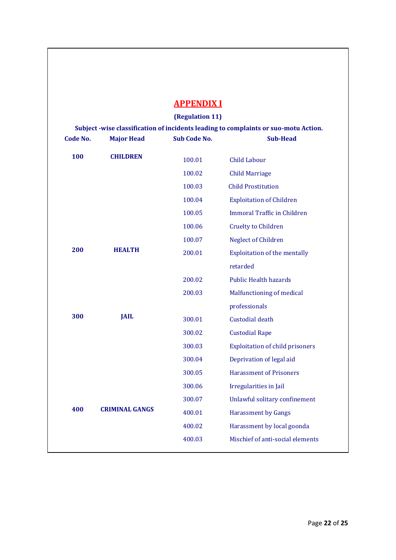|                 |                       | <b>APPENDIXI</b>    |                                                                                     |
|-----------------|-----------------------|---------------------|-------------------------------------------------------------------------------------|
|                 |                       | (Regulation 11)     |                                                                                     |
|                 |                       |                     | Subject -wise classification of incidents leading to complaints or suo-motu Action. |
| <b>Code No.</b> | <b>Major Head</b>     | <b>Sub Code No.</b> | <b>Sub-Head</b>                                                                     |
| 100             | <b>CHILDREN</b>       | 100.01              | Child Labour                                                                        |
|                 |                       | 100.02              | <b>Child Marriage</b>                                                               |
|                 |                       | 100.03              | <b>Child Prostitution</b>                                                           |
|                 |                       | 100.04              | <b>Exploitation of Children</b>                                                     |
|                 |                       | 100.05              | <b>Immoral Traffic in Children</b>                                                  |
|                 |                       | 100.06              | <b>Cruelty to Children</b>                                                          |
|                 |                       | 100.07              | <b>Neglect of Children</b>                                                          |
| 200             | <b>HEALTH</b>         | 200.01              | <b>Exploitation of the mentally</b>                                                 |
|                 |                       |                     | retarded                                                                            |
|                 |                       | 200.02              | <b>Public Health hazards</b>                                                        |
|                 |                       | 200.03              | Malfunctioning of medical                                                           |
|                 |                       |                     | professionals                                                                       |
| 300             | <b>JAIL</b>           | 300.01              | Custodial death                                                                     |
|                 |                       | 300.02              | <b>Custodial Rape</b>                                                               |
|                 |                       | 300.03              | <b>Exploitation of child prisoners</b>                                              |
|                 |                       | 300.04              | Deprivation of legal aid                                                            |
|                 |                       | 300.05              | <b>Harassment of Prisoners</b>                                                      |
|                 |                       | 300.06              | Irregularities in Jail                                                              |
|                 |                       | 300.07              | Unlawful solitary confinement                                                       |
| 400             | <b>CRIMINAL GANGS</b> | 400.01              | <b>Harassment by Gangs</b>                                                          |
|                 |                       | 400.02              | Harassment by local goonda                                                          |
|                 |                       | 400.03              | Mischief of anti-social elements                                                    |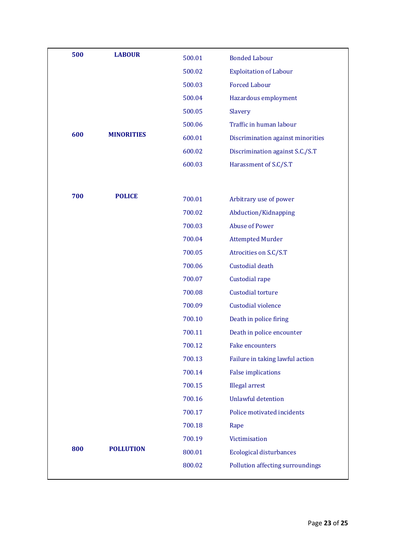| 500 | <b>LABOUR</b>     | 500.01 | <b>Bonded Labour</b>              |
|-----|-------------------|--------|-----------------------------------|
|     |                   | 500.02 | <b>Exploitation of Labour</b>     |
|     |                   | 500.03 | <b>Forced Labour</b>              |
|     |                   | 500.04 | Hazardous employment              |
|     |                   | 500.05 | Slavery                           |
|     |                   | 500.06 | Traffic in human labour           |
| 600 | <b>MINORITIES</b> | 600.01 | Discrimination against minorities |
|     |                   | 600.02 | Discrimination against S.C./S.T   |
|     |                   | 600.03 | Harassment of S.C/S.T             |
|     |                   |        |                                   |
| 700 | <b>POLICE</b>     | 700.01 | Arbitrary use of power            |
|     |                   | 700.02 | Abduction/Kidnapping              |
|     |                   | 700.03 | <b>Abuse of Power</b>             |
|     |                   | 700.04 | <b>Attempted Murder</b>           |
|     |                   | 700.05 | Atrocities on S.C/S.T             |
|     |                   | 700.06 | <b>Custodial death</b>            |
|     |                   | 700.07 | Custodial rape                    |
|     |                   | 700.08 | <b>Custodial torture</b>          |
|     |                   | 700.09 | Custodial violence                |
|     |                   | 700.10 | Death in police firing            |
|     |                   | 700.11 | Death in police encounter         |
|     |                   | 700.12 | Fake encounters                   |
|     |                   | 700.13 | Failure in taking lawful action   |
|     |                   | 700.14 | <b>False implications</b>         |
|     |                   | 700.15 | <b>Illegal arrest</b>             |
|     |                   | 700.16 | <b>Unlawful detention</b>         |
|     |                   | 700.17 | Police motivated incidents        |
|     |                   | 700.18 | Rape                              |
|     |                   | 700.19 | Victimisation                     |
| 800 | <b>POLLUTION</b>  | 800.01 | <b>Ecological disturbances</b>    |
|     |                   | 800.02 | Pollution affecting surroundings  |
|     |                   |        |                                   |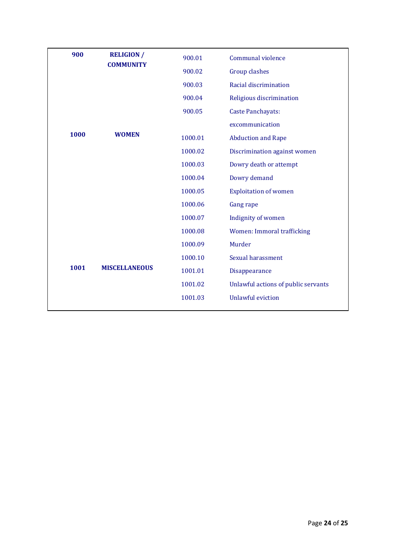| 900  | <b>RELIGION /</b><br><b>COMMUNITY</b> | 900.01  | Communal violence                   |
|------|---------------------------------------|---------|-------------------------------------|
|      |                                       | 900.02  | <b>Group clashes</b>                |
|      |                                       | 900.03  | Racial discrimination               |
|      |                                       | 900.04  | Religious discrimination            |
|      |                                       | 900.05  | <b>Caste Panchayats:</b>            |
|      |                                       |         | excommunication                     |
| 1000 | <b>WOMEN</b>                          | 1000.01 | <b>Abduction and Rape</b>           |
|      |                                       | 1000.02 | Discrimination against women        |
|      |                                       | 1000.03 | Dowry death or attempt              |
|      |                                       | 1000.04 | Dowry demand                        |
|      |                                       | 1000.05 | <b>Exploitation of women</b>        |
|      |                                       | 1000.06 | <b>Gang rape</b>                    |
|      |                                       | 1000.07 | Indignity of women                  |
|      |                                       | 1000.08 | Women: Immoral trafficking          |
|      |                                       | 1000.09 | Murder                              |
|      |                                       | 1000.10 | Sexual harassment                   |
| 1001 | <b>MISCELLANEOUS</b>                  | 1001.01 | Disappearance                       |
|      |                                       | 1001.02 | Unlawful actions of public servants |
|      |                                       | 1001.03 | <b>Unlawful eviction</b>            |
|      |                                       |         |                                     |